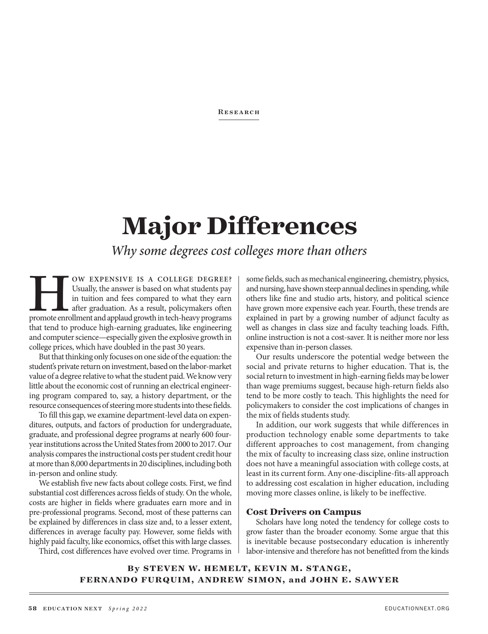#### **RESEARCH**

# **Major Differences**

*Why some degrees cost colleges more than others*

**EXPENSIVE IS A COLLEGE DEGREE?**<br>
Usually, the answer is based on what students pay<br>
in tuition and fees compared to what they earn<br>
after graduation. As a result, policymakers often<br>
promote enrollment and applaud growth Usually, the answer is based on what students pay in tuition and fees compared to what they earn after graduation. As a result, policymakers often that tend to produce high-earning graduates, like engineering and computer science—especially given the explosive growth in college prices, which have doubled in the past 30 years.

But that thinking only focuses on one side of the equation: the student's private return on investment, based on the labor-market value of a degree relative to what the student paid. We know very little about the economic cost of running an electrical engineering program compared to, say, a history department, or the resource consequences of steering more students into these fields.

To fill this gap, we examine department-level data on expenditures, outputs, and factors of production for undergraduate, graduate, and professional degree programs at nearly 600 fouryear institutions across the United States from 2000 to 2017. Our analysis compares the instructional costs per student credit hour at more than 8,000 departments in 20 disciplines, including both in-person and online study.

We establish five new facts about college costs. First, we find substantial cost differences across fields of study. On the whole, costs are higher in fields where graduates earn more and in pre-professional programs. Second, most of these patterns can be explained by differences in class size and, to a lesser extent, differences in average faculty pay. However, some fields with highly paid faculty, like economics, offset this with large classes. Third, cost differences have evolved over time. Programs in

some fields, such as mechanical engineering, chemistry, physics, and nursing, have shown steep annual declines in spending, while others like fine and studio arts, history, and political science have grown more expensive each year. Fourth, these trends are explained in part by a growing number of adjunct faculty as well as changes in class size and faculty teaching loads. Fifth, online instruction is not a cost-saver. It is neither more nor less expensive than in-person classes.

Our results underscore the potential wedge between the social and private returns to higher education. That is, the social return to investment in high-earning fields may be lower than wage premiums suggest, because high-return fields also tend to be more costly to teach. This highlights the need for policymakers to consider the cost implications of changes in the mix of fields students study.

In addition, our work suggests that while differences in production technology enable some departments to take different approaches to cost management, from changing the mix of faculty to increasing class size, online instruction does not have a meaningful association with college costs, at least in its current form. Any one-discipline-fits-all approach to addressing cost escalation in higher education, including moving more classes online, is likely to be ineffective.

#### **Cost Drivers on Campus**

Scholars have long noted the tendency for college costs to grow faster than the broader economy. Some argue that this is inevitable because postsecondary education is inherently labor-intensive and therefore has not benefitted from the kinds

# **By STEVEN W. HEMELT, KEVIN M. STANGE, FERNANDO FURQUIM, ANDREW SIMON, and JOHN E. SAWYER**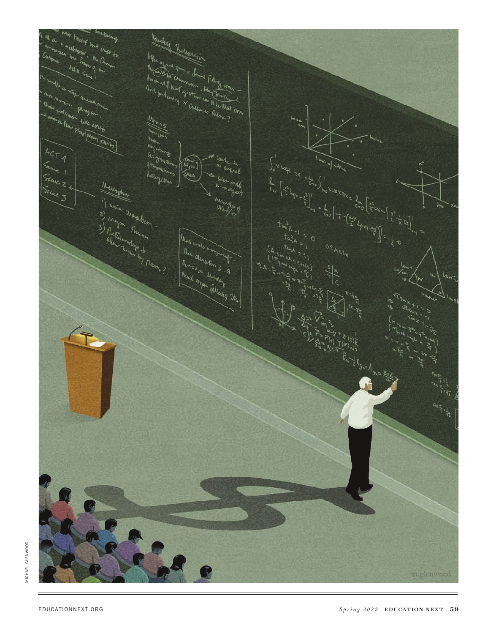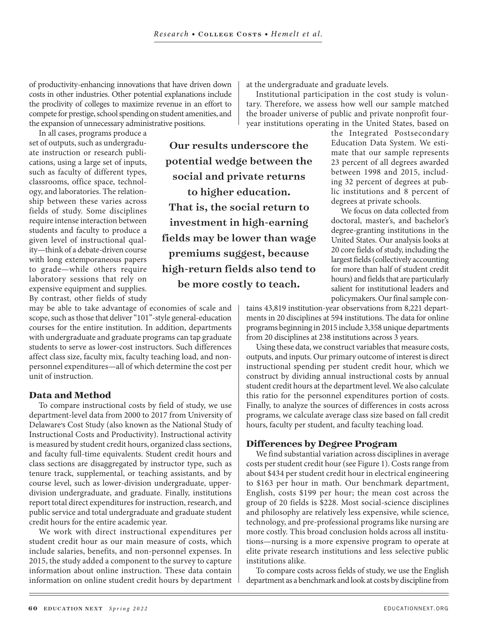of productivity-enhancing innovations that have driven down costs in other industries. Other potential explanations include the proclivity of colleges to maximize revenue in an effort to compete for prestige, school spending on student amenities, and the expansion of unnecessary administrative positions.

In all cases, programs produce a set of outputs, such as undergraduate instruction or research publications, using a large set of inputs, such as faculty of different types, classrooms, office space, technology, and laboratories. The relationship between these varies across fields of study. Some disciplines require intense interaction between students and faculty to produce a given level of instructional quality—think of a debate-driven course with long extemporaneous papers to grade—while others require laboratory sessions that rely on expensive equipment and supplies. By contrast, other fields of study

Our results underscore the potential wedge between the social and private returns to higher education. That is, the social return to investment in high-earning fields may be lower than wage premiums suggest, because high-return fields also tend to be more costly to teach.

may be able to take advantage of economies of scale and scope, such as those that deliver "101"-style general-education courses for the entire institution. In addition, departments with undergraduate and graduate programs can tap graduate students to serve as lower-cost instructors. Such differences affect class size, faculty mix, faculty teaching load, and nonpersonnel expenditures—all of which determine the cost per unit of instruction.

# **Data and Method**

To compare instructional costs by field of study, we use department-level data from 2000 to 2017 from University of Delaware**,**s Cost Study (also known as the National Study of Instructional Costs and Productivity). Instructional activity is measured by student credit hours, organized class sections, and faculty full-time equivalents. Student credit hours and class sections are disaggregated by instructor type, such as tenure track, supplemental, or teaching assistants, and by course level, such as lower-division undergraduate, upperdivision undergraduate, and graduate. Finally, institutions report total direct expenditures for instruction, research, and public service and total undergraduate and graduate student credit hours for the entire academic year.

We work with direct instructional expenditures per student credit hour as our main measure of costs, which include salaries, benefits, and non-personnel expenses. In 2015, the study added a component to the survey to capture information about online instruction. These data contain information on online student credit hours by department at the undergraduate and graduate levels.

Institutional participation in the cost study is voluntary. Therefore, we assess how well our sample matched the broader universe of public and private nonprofit fouryear institutions operating in the United States, based on

> the Integrated Postsecondary Education Data System. We estimate that our sample represents 23 percent of all degrees awarded between 1998 and 2015, including 32 percent of degrees at public institutions and 8 percent of degrees at private schools.

> We focus on data collected from doctoral, master's, and bachelor's degree-granting institutions in the United States. Our analysis looks at 20 core fields of study, including the largest fields (collectively accounting for more than half of student credit hours) and fields that are particularly salient for institutional leaders and policymakers. Our final sample con-

tains 43,819 institution-year observations from 8,221 departments in 20 disciplines at 594 institutions. The data for online programs beginning in 2015 include 3,358 unique departments from 20 disciplines at 238 institutions across 3 years.

Using these data, we construct variables that measure costs, outputs, and inputs. Our primary outcome of interest is direct instructional spending per student credit hour, which we construct by dividing annual instructional costs by annual student credit hours at the department level. We also calculate this ratio for the personnel expenditures portion of costs. Finally, to analyze the sources of differences in costs across programs, we calculate average class size based on fall credit hours, faculty per student, and faculty teaching load.

# **Differences by Degree Program**

We find substantial variation across disciplines in average costs per student credit hour (see Figure 1). Costs range from about \$434 per student credit hour in electrical engineering to \$163 per hour in math. Our benchmark department, English, costs \$199 per hour; the mean cost across the group of 20 fields is \$228. Most social-science disciplines and philosophy are relatively less expensive, while science, technology, and pre-professional programs like nursing are more costly. This broad conclusion holds across all institutions—nursing is a more expensive program to operate at elite private research institutions and less selective public institutions alike.

To compare costs across fields of study, we use the English department as a benchmark and look at costs by discipline from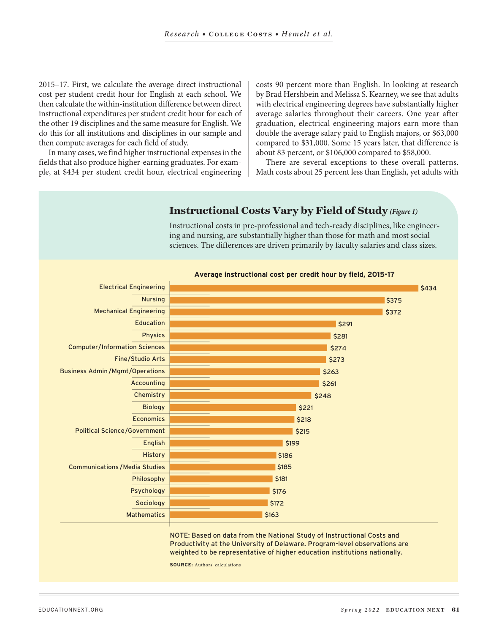2015–17. First, we calculate the average direct instructional cost per student credit hour for English at each school. We then calculate the within-institution difference between direct instructional expenditures per student credit hour for each of the other 19 disciplines and the same measure for English. We do this for all institutions and disciplines in our sample and then compute averages for each field of study.

In many cases, we find higher instructional expenses in the fields that also produce higher-earning graduates. For example, at \$434 per student credit hour, electrical engineering costs 90 percent more than English. In looking at research by Brad Hershbein and Melissa S. Kearney, we see that adults with electrical engineering degrees have substantially higher average salaries throughout their careers. One year after graduation, electrical engineering majors earn more than double the average salary paid to English majors, or \$63,000 compared to \$31,000. Some 15 years later, that difference is about 83 percent, or \$106,000 compared to \$58,000.

There are several exceptions to these overall patterns. Math costs about 25 percent less than English, yet adults with

# **Instructional Costs Vary by Field of Study***(Figure 1)* **Instructional Costs Vary by Field of Study***(Figure 1)*

Instructional costs in pre-professional and tech-ready disciplines, like engineering and nursing, are substantially higher than those for math and most social sciences. The differences are driven primarily by faculty salaries and class sizes. sciences. The differences are driven primarily by faculty salaries and class sizes.



**Average instructional cost per credit hour by field, 2015-17**

NOTE: Based on data from the National Study of Instructional Costs and Productivity at the University of Delaware. Program-level observations are weighted to be representative of higher education institutions nationally.

**SOURCE:** Authors' calculations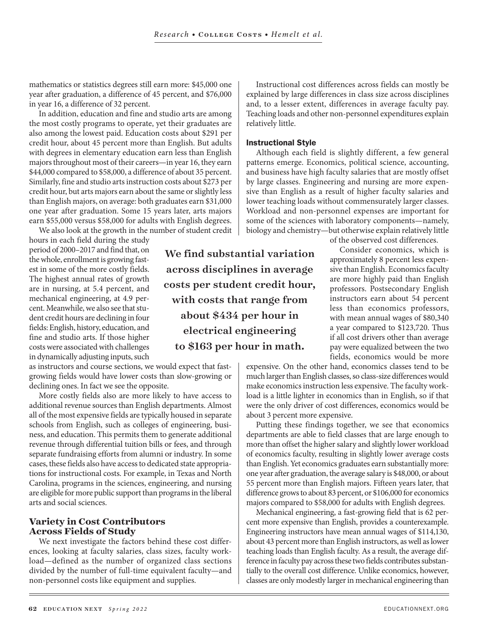mathematics or statistics degrees still earn more: \$45,000 one year after graduation, a difference of 45 percent, and \$76,000 in year 16, a difference of 32 percent.

In addition, education and fine and studio arts are among the most costly programs to operate, yet their graduates are also among the lowest paid. Education costs about \$291 per credit hour, about 45 percent more than English. But adults with degrees in elementary education earn less than English majors throughout most of their careers—in year 16, they earn \$44,000 compared to \$58,000, a difference of about 35 percent. Similarly, fine and studio arts instruction costs about \$273 per credit hour, but arts majors earn about the same or slightly less than English majors, on average: both graduates earn \$31,000 one year after graduation. Some 15 years later, arts majors earn \$55,000 versus \$58,000 for adults with English degrees.

We also look at the growth in the number of student credit

hours in each field during the study period of 2000–2017 and find that, on the whole, enrollment is growing fastest in some of the more costly fields. The highest annual rates of growth are in nursing, at 5.4 percent, and mechanical engineering, at 4.9 percent. Meanwhile, we also see that student credit hours are declining in four fields: English, history, education, and fine and studio arts. If those higher costs were associated with challenges in dynamically adjusting inputs, such

as instructors and course sections, we would expect that fastgrowing fields would have lower costs than slow-growing or declining ones. In fact we see the opposite.

More costly fields also are more likely to have access to additional revenue sources than English departments. Almost all of the most expensive fields are typically housed in separate schools from English, such as colleges of engineering, business, and education. This permits them to generate additional revenue through differential tuition bills or fees, and through separate fundraising efforts from alumni or industry. In some cases, these fields also have access to dedicated state appropriations for instructional costs. For example, in Texas and North Carolina, programs in the sciences, engineering, and nursing are eligible for more public support than programs in the liberal arts and social sciences.

# **Variety in Cost Contributors Across Fields of Study**

We next investigate the factors behind these cost differences, looking at faculty salaries, class sizes, faculty workload—defined as the number of organized class sections divided by the number of full-time equivalent faculty—and non-personnel costs like equipment and supplies.

We find substantial variation across disciplines in average costs per student credit hour, with costs that range from about \$434 per hour in electrical engineering to \$163 per hour in math.

Instructional cost differences across fields can mostly be explained by large differences in class size across disciplines and, to a lesser extent, differences in average faculty pay. Teaching loads and other non-personnel expenditures explain relatively little.

#### Instructional Style

Although each field is slightly different, a few general patterns emerge. Economics, political science, accounting, and business have high faculty salaries that are mostly offset by large classes. Engineering and nursing are more expensive than English as a result of higher faculty salaries and lower teaching loads without commensurately larger classes. Workload and non-personnel expenses are important for some of the sciences with laboratory components—namely, biology and chemistry—but otherwise explain relatively little

of the observed cost differences.

Consider economics, which is approximately 8 percent less expensive than English. Economics faculty are more highly paid than English professors. Postsecondary English instructors earn about 54 percent less than economics professors, with mean annual wages of \$80,340 a year compared to \$123,720. Thus if all cost drivers other than average pay were equalized between the two fields, economics would be more

expensive. On the other hand, economics classes tend to be much larger than English classes, so class-size differences would make economics instruction less expensive. The faculty workload is a little lighter in economics than in English, so if that were the only driver of cost differences, economics would be about 3 percent more expensive.

Putting these findings together, we see that economics departments are able to field classes that are large enough to more than offset the higher salary and slightly lower workload of economics faculty, resulting in slightly lower average costs than English. Yet economics graduates earn substantially more: one year after graduation, the average salary is \$48,000, or about 55 percent more than English majors. Fifteen years later, that difference grows to about 83 percent, or \$106,000 for economics majors compared to \$58,000 for adults with English degrees.

Mechanical engineering, a fast-growing field that is 62 percent more expensive than English, provides a counterexample. Engineering instructors have mean annual wages of \$114,130, about 43 percent more than English instructors, as well as lower teaching loads than English faculty. As a result, the average difference in faculty pay across these two fields contributes substantially to the overall cost difference. Unlike economics, however, classes are only modestly larger in mechanical engineering than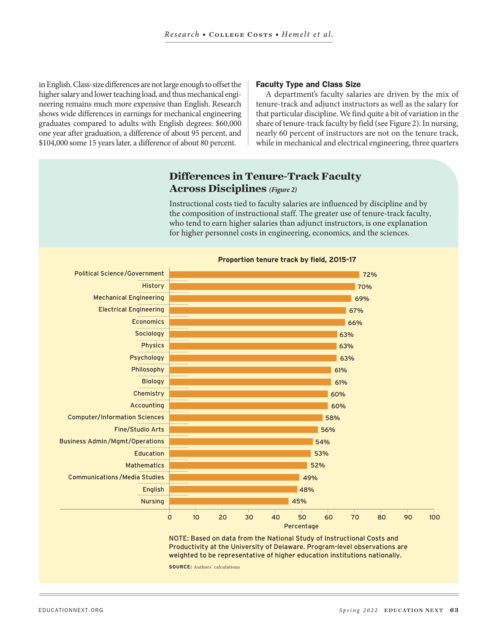in English. Class-size differences are not large enough to offset the higher salary and lower teaching load, and thus mechanical engineering remains much more expensive than English. Research shows wide differences in earnings for mechanical engineering graduates compared to adults with English degrees: \$60,000 one year after graduation, a difference of about 95 percent, and \$104,000 some 15 years later, a difference of about 80 percent.

#### Faculty Type and Class Size

A department's faculty salaries are driven by the mix of tenure-track and adjunct instructors as well as the salary for that particular discipline. We find quite a bit of variation in the share of tenure-track faculty by field (see Figure 2). In nursing, nearly 60 percent of instructors are not on the tenure track, while in mechanical and electrical engineering, three quarters

# **Differences in Tenure-Track Faculty Across Disciplines** *(Figure 2)*

Instructional costs tied to faculty salaries are influenced by discipline and by the composition of instructional staff. The greater use of tenure-track faculty, who tend to earn higher salaries than adjunct instructors, is one explanation for higher personnel costs in engineering, economics, and the sciences.



**Proportion tenure track by field, 2015-17**

NOTE: Based on data from the National Study of Instructional Costs and Productivity at the University of Delaware. Program-level observations are weighted to be representative of higher education institutions nationally.

**SOURCE:** Authors' calculations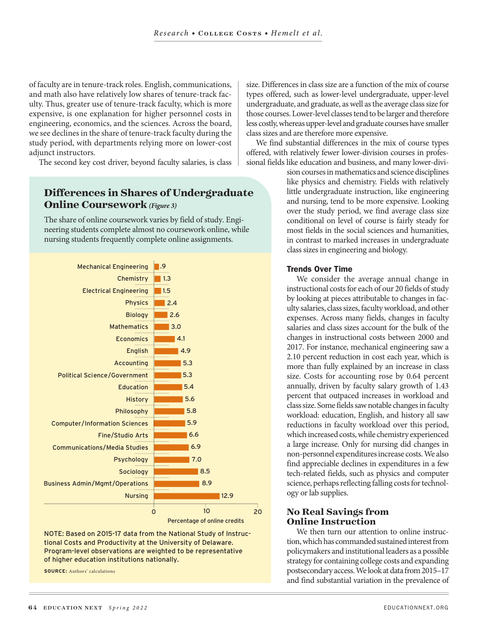of faculty are in tenure-track roles. English, communications, and math also have relatively low shares of tenure-track faculty. Thus, greater use of tenure-track faculty, which is more expensive, is one explanation for higher personnel costs in engineering, economics, and the sciences. Across the board, we see declines in the share of tenure-track faculty during the study period, with departments relying more on lower-cost adjunct instructors.

The second key cost driver, beyond faculty salaries, is class

# **Differences in Shares of Undergraduate Online Coursework***(Figure 3)*

The share of online coursework varies by field of study. Engineering students complete almost no coursework online, while nursing students frequently complete online assignments.



NOTE: Based on 2015-17 data from the National Study of Instructional Costs and Productivity at the University of Delaware. Program-level observations are weighted to be representative of higher education institutions nationally.

**SOURCE:** Authors' calculations

size. Differences in class size are a function of the mix of course types offered, such as lower-level undergraduate, upper-level undergraduate, and graduate, as well as the average class size for those courses. Lower-level classes tend to be larger and therefore less costly, whereas upper-level and graduate courses have smaller class sizes and are therefore more expensive.

We find substantial differences in the mix of course types offered, with relatively fewer lower-division courses in professional fields like education and business, and many lower-divi-

> sion courses in mathematics and science disciplines like physics and chemistry. Fields with relatively little undergraduate instruction, like engineering and nursing, tend to be more expensive. Looking over the study period, we find average class size conditional on level of course is fairly steady for most fields in the social sciences and humanities, in contrast to marked increases in undergraduate class sizes in engineering and biology.

#### Trends Over Time

We consider the average annual change in instructional costs for each of our 20 fields of study by looking at pieces attributable to changes in faculty salaries, class sizes, faculty workload, and other expenses. Across many fields, changes in faculty salaries and class sizes account for the bulk of the changes in instructional costs between 2000 and 2017. For instance, mechanical engineering saw a 2.10 percent reduction in cost each year, which is more than fully explained by an increase in class size. Costs for accounting rose by 0.64 percent annually, driven by faculty salary growth of 1.43 percent that outpaced increases in workload and class size. Some fields saw notable changes in faculty workload: education, English, and history all saw reductions in faculty workload over this period, which increased costs, while chemistry experienced a large increase. Only for nursing did changes in non-personnel expenditures increase costs. We also find appreciable declines in expenditures in a few tech-related fields, such as physics and computer science, perhaps reflecting falling costs for technology or lab supplies.

### **No Real Savings from Online Instruction**

We then turn our attention to online instruction, which has commanded sustained interest from policymakers and institutional leaders as a possible strategy for containing college costs and expanding postsecondary access. We look at data from 2015–17 and find substantial variation in the prevalence of